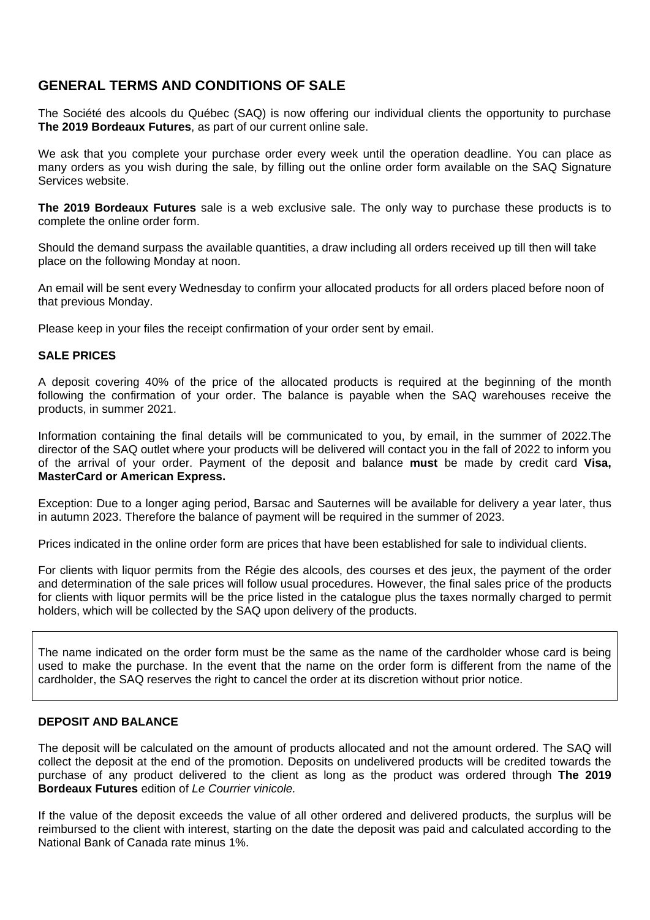# **GENERAL TERMS AND CONDITIONS OF SALE**

The Société des alcools du Québec (SAQ) is now offering our individual clients the opportunity to purchase **The 2019 Bordeaux Futures**, as part of our current online sale.

We ask that you complete your purchase order every week until the operation deadline. You can place as many orders as you wish during the sale, by filling out the online order form available on the SAQ Signature Services website.

**The 2019 Bordeaux Futures** sale is a web exclusive sale. The only way to purchase these products is to complete the online order form.

Should the demand surpass the available quantities, a draw including all orders received up till then will take place on the following Monday at noon.

An email will be sent every Wednesday to confirm your allocated products for all orders placed before noon of that previous Monday.

Please keep in your files the receipt confirmation of your order sent by email.

### **SALE PRICES**

A deposit covering 40% of the price of the allocated products is required at the beginning of the month following the confirmation of your order. The balance is payable when the SAQ warehouses receive the products, in summer 2021.

Information containing the final details will be communicated to you, by email, in the summer of 2022.The director of the SAQ outlet where your products will be delivered will contact you in the fall of 2022 to inform you of the arrival of your order. Payment of the deposit and balance **must** be made by credit card **Visa, MasterCard or American Express.** 

Exception: Due to a longer aging period, Barsac and Sauternes will be available for delivery a year later, thus in autumn 2023. Therefore the balance of payment will be required in the summer of 2023.

Prices indicated in the online order form are prices that have been established for sale to individual clients.

For clients with liquor permits from the Régie des alcools, des courses et des jeux, the payment of the order and determination of the sale prices will follow usual procedures. However, the final sales price of the products for clients with liquor permits will be the price listed in the catalogue plus the taxes normally charged to permit holders, which will be collected by the SAQ upon delivery of the products.

The name indicated on the order form must be the same as the name of the cardholder whose card is being used to make the purchase. In the event that the name on the order form is different from the name of the cardholder, the SAQ reserves the right to cancel the order at its discretion without prior notice.

### **DEPOSIT AND BALANCE**

The deposit will be calculated on the amount of products allocated and not the amount ordered. The SAQ will collect the deposit at the end of the promotion. Deposits on undelivered products will be credited towards the purchase of any product delivered to the client as long as the product was ordered through **The 2019 Bordeaux Futures** edition of *Le Courrier vinicole.*

If the value of the deposit exceeds the value of all other ordered and delivered products, the surplus will be reimbursed to the client with interest, starting on the date the deposit was paid and calculated according to the National Bank of Canada rate minus 1%.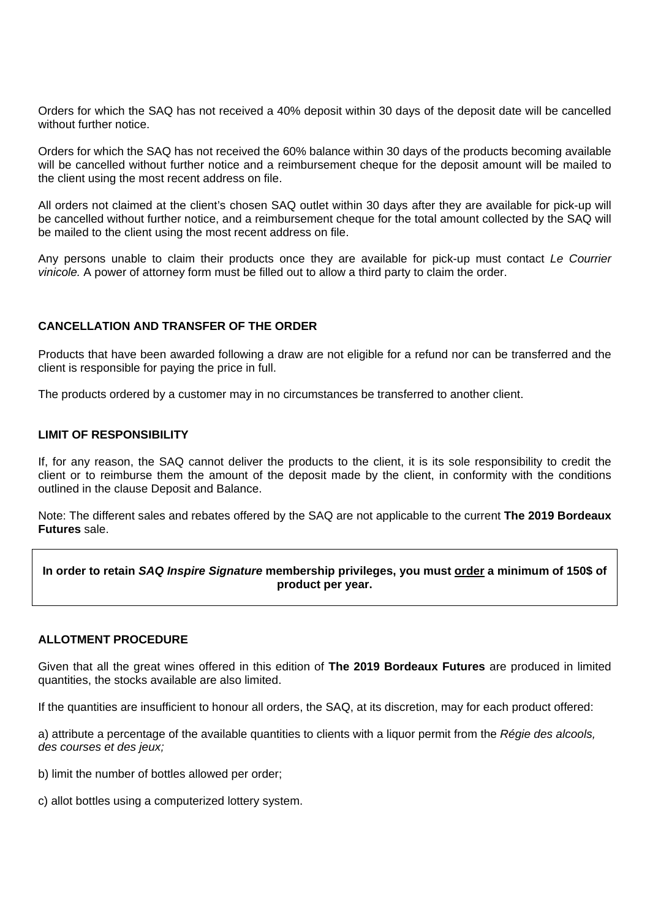Orders for which the SAQ has not received a 40% deposit within 30 days of the deposit date will be cancelled without further notice.

Orders for which the SAQ has not received the 60% balance within 30 days of the products becoming available will be cancelled without further notice and a reimbursement cheque for the deposit amount will be mailed to the client using the most recent address on file.

All orders not claimed at the client's chosen SAQ outlet within 30 days after they are available for pick-up will be cancelled without further notice, and a reimbursement cheque for the total amount collected by the SAQ will be mailed to the client using the most recent address on file.

Any persons unable to claim their products once they are available for pick-up must contact *Le Courrier vinicole.* A power of attorney form must be filled out to allow a third party to claim the order.

# **CANCELLATION AND TRANSFER OF THE ORDER**

Products that have been awarded following a draw are not eligible for a refund nor can be transferred and the client is responsible for paying the price in full.

The products ordered by a customer may in no circumstances be transferred to another client.

#### **LIMIT OF RESPONSIBILITY**

If, for any reason, the SAQ cannot deliver the products to the client, it is its sole responsibility to credit the client or to reimburse them the amount of the deposit made by the client, in conformity with the conditions outlined in the clause Deposit and Balance.

Note: The different sales and rebates offered by the SAQ are not applicable to the current **The 2019 Bordeaux Futures** sale.

# **In order to retain** *SAQ Inspire Signature* **membership privileges, you must order a minimum of 150\$ of product per year.**

# **ALLOTMENT PROCEDURE**

Given that all the great wines offered in this edition of **The 2019 Bordeaux Futures** are produced in limited quantities, the stocks available are also limited.

If the quantities are insufficient to honour all orders, the SAQ, at its discretion, may for each product offered:

a) attribute a percentage of the available quantities to clients with a liquor permit from the *Régie des alcools, des courses et des jeux;*

- b) limit the number of bottles allowed per order;
- c) allot bottles using a computerized lottery system.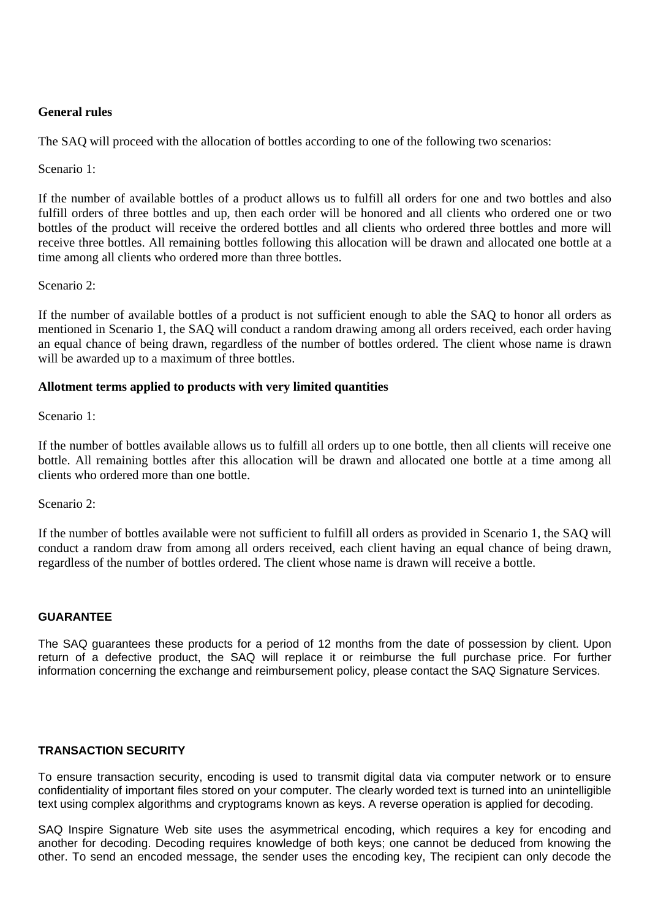# **General rules**

The SAQ will proceed with the allocation of bottles according to one of the following two scenarios:

Scenario 1:

If the number of available bottles of a product allows us to fulfill all orders for one and two bottles and also fulfill orders of three bottles and up, then each order will be honored and all clients who ordered one or two bottles of the product will receive the ordered bottles and all clients who ordered three bottles and more will receive three bottles. All remaining bottles following this allocation will be drawn and allocated one bottle at a time among all clients who ordered more than three bottles.

### Scenario 2:

If the number of available bottles of a product is not sufficient enough to able the SAQ to honor all orders as mentioned in Scenario 1, the SAQ will conduct a random drawing among all orders received, each order having an equal chance of being drawn, regardless of the number of bottles ordered. The client whose name is drawn will be awarded up to a maximum of three bottles.

# **Allotment terms applied to products with very limited quantities**

Scenario 1:

If the number of bottles available allows us to fulfill all orders up to one bottle, then all clients will receive one bottle. All remaining bottles after this allocation will be drawn and allocated one bottle at a time among all clients who ordered more than one bottle.

Scenario 2:

If the number of bottles available were not sufficient to fulfill all orders as provided in Scenario 1, the SAQ will conduct a random draw from among all orders received, each client having an equal chance of being drawn, regardless of the number of bottles ordered. The client whose name is drawn will receive a bottle.

### **GUARANTEE**

The SAQ guarantees these products for a period of 12 months from the date of possession by client. Upon return of a defective product, the SAQ will replace it or reimburse the full purchase price. For further information concerning the exchange and reimbursement policy, please contact the SAQ Signature Services.

### **TRANSACTION SECURITY**

To ensure transaction security, encoding is used to transmit digital data via computer network or to ensure confidentiality of important files stored on your computer. The clearly worded text is turned into an unintelligible text using complex algorithms and cryptograms known as keys. A reverse operation is applied for decoding.

SAQ Inspire Signature Web site uses the asymmetrical encoding, which requires a key for encoding and another for decoding. Decoding requires knowledge of both keys; one cannot be deduced from knowing the other. To send an encoded message, the sender uses the encoding key, The recipient can only decode the